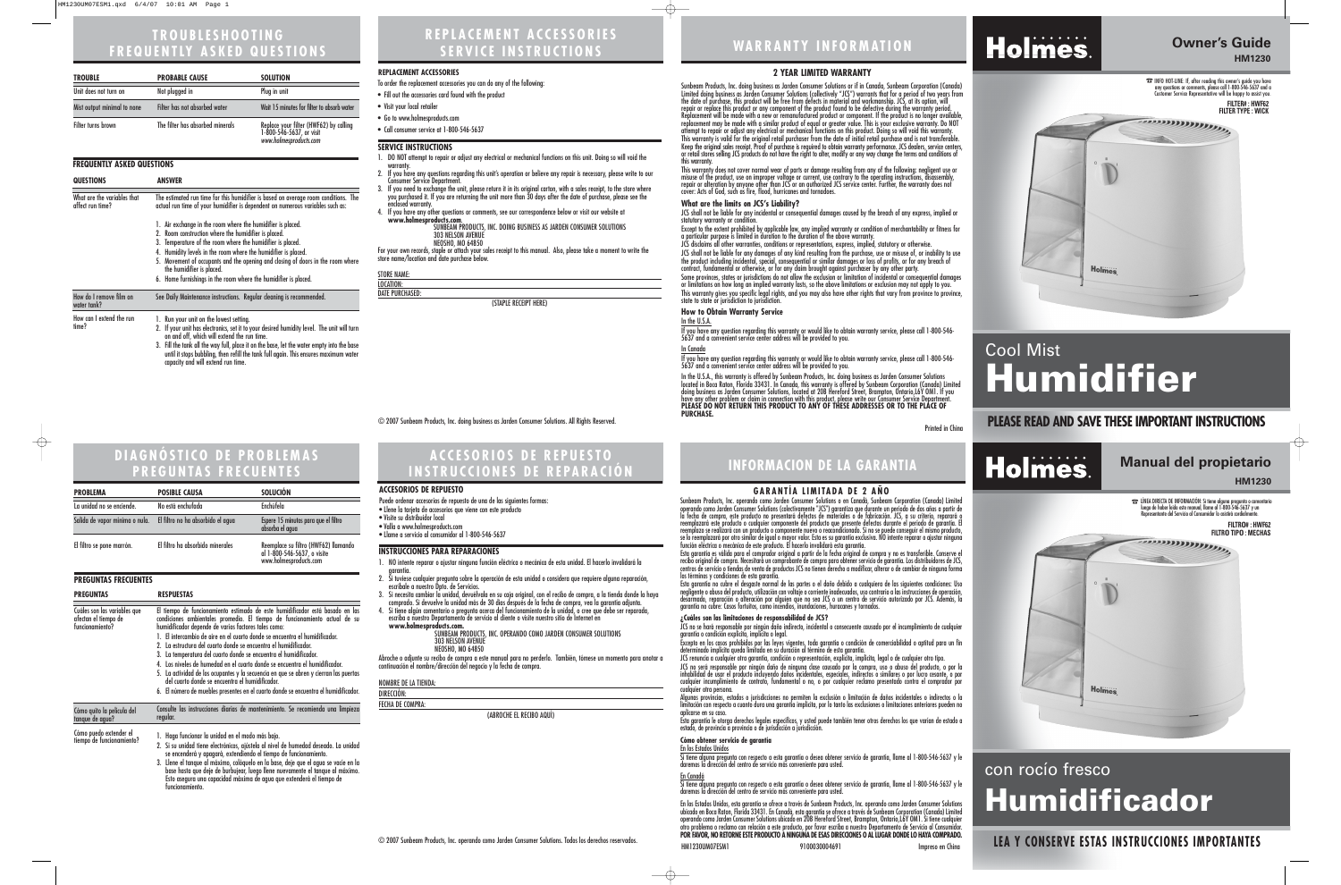## **WARRANTY INFORMATION**

### **Owner's Guide HM1230**

☎INFO HOT-LINE: If, after reading this owner's guide you have any questions or comments, please call 1-800-546-5637 and a Customer Service Representative will be happy to assist you. **FILTER# : HWF62** 

# Cool Mist **Humidifier**

### Printed in China **PLEASE READ AND SAVE THESE IMPORTANT INSTRUCTIONS**





**REPLACEMENT ACCESSORIES SERVICE INSTRUCTIONS**

#### **SERVICE INSTRUCTIONS**

- 1. DO NOT attempt to repair or adjust any electrical or mechanical functions on this unit. Doing so will void the
- warranty. 2. If you have any questions regarding this unit's operation or believe any repair is necessary, please write to our Consumer Service Department.
- 3. If you need to exchange the unit, please return it in its original carton, with a sales receipt, to the store where you purchased it. If you are returning the unit more than 30 days after the date of purchase, please see the enclosed warranty.
- 4. If you have any other questions or comments, see our correspondence below or visit our website at **www.holmesproducts.com**. SUNBEAM PRODUCTS, INC. DOING BUSINESS AS JARDEN CONSUMER SOLUTIONS
	- 303 NELSON AVENUE NEOSHO, MO 64850

For your own records, staple or attach your sales receipt to this manual. Also, please take a moment to write the store name/location and date purchase below.

| <b>STORE NAME:</b>     |                          |  |
|------------------------|--------------------------|--|
| LOCATION:              |                          |  |
| <b>DATE PURCHASED:</b> |                          |  |
|                        | $ICTANDI$ DECTIDE LIEDEV |  |

(STAPLE RECEIPT HERE)

| <b>TROUBLE</b>              | <b>PROBABLE CAUSE</b>            | <b>SOLUTION</b>                                                                              |
|-----------------------------|----------------------------------|----------------------------------------------------------------------------------------------|
| Unit does not turn on       | Not plugged in                   | Plug in unit                                                                                 |
| Mist output minimal to none | Filter has not absorbed water    | Wait 15 minutes for filter to absorb water                                                   |
| Filter turns brown          | The filter has absorbed minerals | Replace your filter (HWF62) by calling<br>1-800-546-5637, or visit<br>www.holmesproducts.com |

#### **REPLACEMENT ACCESSORIES**

- To order the replacement accessories you can do any of the following:
- Fill out the accessories card found with the product
- Visit your local retailer
- Go to www.holmesproducts.com
- Call consumer service at 1-800-546-5637

### **TROUBLESHOOTING FREQUENTLY ASKED QUESTIONS**

#### **2 YEAR LIMITED WARRANTY**

Sunbeam Products, Inc. doing business as Jarden Consumer Solutions or if in Canada, Sunbeam Corporation (Canada) Limited doing business as Jarden Consumer Solutions (collectively "JCS") warrants that for a period of two years from the date of purchase, this product will be free from defects in material and workmanship. JCS, at its option, will repair or replace this product or any component of the product found to be defective during the warranty period. Replacement will be made with a new or remanufactured product or component. If the product is no longer available, replacement may be made with a similar product of equal or greater value. This is your exclusive warranty. Do NOT attempt to repair or adjust any electrical or mechanical functions on this product. Doing so will void this warranty. This warranty is valid for the original retail purchaser from the date of initial retail purchase and is not transferable. Keep the original sales receipt. Proof of purchase is required to obtain warranty performance. JCS dealers, service centers,<br>or retail stores selling JCS products do not have the right to alter, modify or any way change th this warranty.

- 1. NO intente reparar o ajustar ninguna función eléctrica o mecánica de esta unidad. El hacerlo invalidará la
- 
- 2. Ši tuviese cualquier pregunta sobre la operación de esta unidad o considera que requiere alguna reparación,<br>escríbale a nuestro Dpto. de Servicios.
- 3. Si necesita cambiar la unidad, devuélvala en su caja original, con el recibo de compra, a la tienda donde la haya comprado. Si devuelve la unidad más de 30 días después de la fecha de compra, vea la garantía adjunta.<br>4. Si tiene algún comentario o pregunta acerca del funcionamiento de la unidad, o cree que debe ser reparada,<br>escriba a
- www.holmesproducts.com. Supplema active a ten inhighant part of the distribution of the equal escriba a mestion of<br>Www.holmesproducts.com.

This warranty does not cover normal wear of parts or damage resulting from any of the following: negligent use or misuse of the product, use on improper voltage or current, use contrary to the operating instructions, disassembly, repair or alteration by anyone other than JCS or an authorized JCS service center. Further, the warranty does not cover: Acts of God, such as fire, flood, hurricanes and tornadoes.

> ☎ LÍNEA DIRECTA DE INFORMACIÓN: Si tiene alguna pregunta o comentario luego de haber leído este manual, llame al 1-800-546-5637 y un entante del Servicio al Consumidor l

#### **What are the limits on JCS's Liability?**

JCS shall not be liable for any incidental or consequential damages caused by the breach of any express, implied or statutory warranty or condition.

Except to the extent prohibited by applicable law, any implied warranty or condition of merchantability or fitness for a particular purpose is limited in duration to the duration of the above warranty.

JCS disclaims all other warranties, conditions or representations, express, implied, statutory or otherwise.

JCS shall not be liable for any damages of any kind resulting from the purchase, use or misuse of, or inability to use the product including incidental, special, consequential or similar damages or loss of profits, or for any breach of contract, fundamental or otherwise, or for any claim brought against purchaser by any other party.

Some provinces, states or jurisdictions do not allow the exclusion or limitation of incidental or consequential damages or limitations on how long an implied warranty lasts, so the above limitations or exclusion may not apply to you. This warranty gives you specific legal rights, and you may also have other rights that vary from province to province, state to state or jurisdiction to jurisdiction.

#### **How to Obtain Warranty Service**

If you have any question regarding this warranty or would like to obtain warranty service, please call 1-800-546- 5637 and a convenient service center address will be provided to you.

If you have any question regarding this warranty or would like to obtain warranty service, please call 1-800-546- 5637 and a convenient service center address will be provided to you.

provincias, estados o jurisdicciones no permiten la exclusión o limitación de daños incidentales o indirectos o la limitación con respecto a cuanto dura una garantía implícita, por lo tanto las exclusiones o limitaciones anteriores pueden no aplicarse en su caso.

Si tiene alguna pregunta con respecto a esta garantía o desea obtener servicio de garantía, llame al 1-800-546-5637 y le daremos la dirección del centro de servicio más conveniente para usted.

In the U.S.A., this warranty is offered by Sunbeam Products, Inc. doing business as Jarden Consumer Solutions located in Boca Raton, Florida 33431. In Canada, this warranty is offered by Sunbeam Corporation (Canada) Limited doing business as Jarden Consumer Solutions, located at 20B Hereford Street, Brampton, Ontario,L6Y OM1. If you have any other problem or claim in connection with this product, please write our Consumer Service Department. **PLEASE DO NOT RETURN THIS PRODUCT TO ANY OF THESE ADDRESSES OR TO THE PLACE OF**

#### **FREQUENTLY ASKED QUESTIONS**

HM1230UM07ESM1 9100030004691 Impreso en China



### **INFORMACION DE LA GARANTIA ACCESORIOS DE REPUESTO INSTRUCCIONES DE REPARACIÓN**

#### **INSTRUCCIONES PARA REPARACIONES**

| SUNBEAM PRODUCTS, INC. OPERANDO COMO JARDEN CONSUMER SOLUTIONS |  |
|----------------------------------------------------------------|--|
| <b>303 NELSON AVENUE</b>                                       |  |
| NEOSHO, MO 64850                                               |  |

Abroche o adjunte su recibo de compra a este manual para no perderlo. También, tómese un momento para anotar a continuación el nombre/dirección del negocio y la fecha de compra.

NOMBRE DE LA TIENDA:

DIRECCIÓN:

FECHA DE COMPRA:

(ABROCHE EL RECIBO AQUÍ)

### **LEA Y CONSERVE ESTAS INSTRUCCIONES IMPORTANTES**

### **Manual del propietario HM1230**

# con rocío fresco **Humidificador**

**FILTRO# : HWF62**



#### **ACCESORIOS DE REPUESTO**

- Puede ordenar accesorios de repuesto de una de las siguientes formas:
- Llene la tarjeta de accesorios que viene con este producto
- Visite su distribuidor local
- Valla a www.holmesproducts.com • Llame a servicio al consumidor al 1-800-546-5637
- 

#### **GARANTÍA LIMITADA DE 2 AÑO**

Sunbeam Products, Inc. operando como Jarden Consumer Solutions o en Canadá, Sunbeam Corporation (Canada) Limited operando como Jarden Consumer Solutions (colectivamente "JCS") garantiza que durante un período de dos años a partir de la fecha de compra, este producto no presentará defectos de materiales o de fabricación. JCS, a su criterio, reparará o reemplazará este producto o cualquier componente del producto que presente defectos durante el período de garantía. El reemplazo se realizará con un producto o componente nuevo o reacondicionado. Si no se puede conseguir el mismo producto, se lo reemplazará por otro similar de igual o mayor valor. Esta es su garantía exclusiva. NO intente reparar o ajustar ninguna función eléctrica o mecánica de este producto. El hacerlo invalidará esta garantía.

Esta garantía es válida para el comprador original a partir de la fecha original de compra y no es transferible. Conserve el recibo original de compra. Necesitará un comprobante de compra para obtener servicio de garantía. Los distribuidores de JCS, centros de servicio o tiendas de venta de productos JCS no tienen derecho a modificar, alterar o de cambiar de ninguna forma los términos y condiciones de esta garantía.

Esta garantía no cubre el desgaste normal de las partes o el daño debido a cualquiera de las siguientes condiciones: Uso negligente o abuso del producto, utilización con voltaje o corriente inadecuados, uso contrario a las instrucciones de operación,<br>desarmado, reparación o alteración por alguien que no sea JCS o un centro de servicio autori garantía no cubre: Casos fortuitos, como incendios, inundaciones, huracanes y tornados.

#### **¿Cuáles son las limitaciones de responsabilidad de JCS?**

JCS no se hará responsable por ningún daño indirecto, incidental o consecuente causado por el incumplimiento de cualquier garantía o condición explícita, implícita o legal.

Excepto en los casos prohibidos por las leyes vigentes, toda garantía o condición de comerciabilidad o aptitud para un fin determinado implícita queda limitada en su duración al término de esta garantía.

JCS renuncia a cualquier otra garantía, condición o representación, explícita, implícita, legal o de cualquier otro tipo. JCS no será responsable por ningún daño de ninguna clase causado por la compra, uso o abuso del producto, o por la inhabilidad de usar el producto incluyendo daños incidentales, especiales, indirectos o similares o por lucro cesante, o por cualquier incumplimiento de contrato, fundamental o no, o por cualquier reclamo presentado contra el comprador por cualquier otra persona.

Esta garantía le otorga derechos legales específicos, y usted puede también tener otros derechos los que varían de estado a estado, de provincia a provincia o de jurisdicción a jurisdicción.

#### **Cómo obtener servicio de garantía**

#### En los Estados Unidos

En Canadá Si tiene alguna pregunta con respecto a esta garantía o desea obtener servicio de garantía, llame al 1-800-546-5637 y le daremos la dirección del centro de servicio más conveniente para usted.

En los Estados Unidos, esta garantía se ofrece a través de Sunbeam Products, Inc. operando como Jarden Consumer Solutions ubicado en Boca Raton, Florida 33431. En Canadá, esta garantía se ofrece a través de Sunbeam Corporation (Canada) Limited operando como Jarden Consumer Solutions ubicado en 20B Hereford Street, Brampton, Ontario,L6Y OM1. Si tiene cualquier otro problema o reclamo con relación a este producto, por favor escriba a nuestro Departamento de Servicio al Consumidor. **POR FAVOR, NO RETORNE ESTE PRODUCTO A NINGUNA DE ESAS DIRECCIONES O AL LUGAR DONDE LO HAYA COMPRADO.**

| <b>QUESTIONS</b>                                | <b>ANSWER</b>                                                                                                                                                                                                                                                                                                                                                                                                                          |  |  |
|-------------------------------------------------|----------------------------------------------------------------------------------------------------------------------------------------------------------------------------------------------------------------------------------------------------------------------------------------------------------------------------------------------------------------------------------------------------------------------------------------|--|--|
| What are the variables that<br>affect run time? | The estimated run time for this humidifier is based on average room conditions. The<br>actual run time of your humidifier is dependent on numerous variables such as:                                                                                                                                                                                                                                                                  |  |  |
|                                                 | 1. Air exchange in the room where the humidifier is placed.<br>2. Room construction where the humidifier is placed.<br>3. Temperature of the room where the humidifier is placed.<br>4. Humidity levels in the room where the humidifier is placed.<br>5. Movement of occupants and the opening and closing of doors in the room where<br>the humidifier is placed.<br>6. Home furnishings in the room where the humidifier is placed. |  |  |
| How do I remove film on<br>water tank?          | See Daily Maintenance instructions. Regular cleaning is recommended.                                                                                                                                                                                                                                                                                                                                                                   |  |  |
| How can I extend the run<br>time?               | 1. Run your unit on the lowest setting.<br>2. If your unit has electronics, set it to your desired humidity level. The unit will turn<br>on and off, which will extend the run time.<br>3. Fill the tank all the way full, place it on the base, let the water empty into the base<br>until it stops bubbling, then refill the tank full again. This ensures maximum water<br>capacity and will extend run time.                       |  |  |

### **DIAGNÓSTICO DE PROBLEMAS PREGUNTAS FRECUENTES**

| <b>PROBLEMA</b>                                                         | <b>POSIBLE CAUSA</b>                                                                                                                                                                                                                                                                                                                                                                                                                                                                                                                                                                                                                                                                                                                                          | <b>SOLUCIÓN</b>                                                                               |
|-------------------------------------------------------------------------|---------------------------------------------------------------------------------------------------------------------------------------------------------------------------------------------------------------------------------------------------------------------------------------------------------------------------------------------------------------------------------------------------------------------------------------------------------------------------------------------------------------------------------------------------------------------------------------------------------------------------------------------------------------------------------------------------------------------------------------------------------------|-----------------------------------------------------------------------------------------------|
| La unidad no se enciende.                                               | No está enchufada                                                                                                                                                                                                                                                                                                                                                                                                                                                                                                                                                                                                                                                                                                                                             | Enchúfela                                                                                     |
| Salida de vapor mínima o nula.                                          | El filtro no ha absorbido el agua                                                                                                                                                                                                                                                                                                                                                                                                                                                                                                                                                                                                                                                                                                                             | Espere 15 minutos para que el filtro<br>absorba el agua                                       |
| El filtro se pone marrón.                                               | El filtro ha absorbido minerales                                                                                                                                                                                                                                                                                                                                                                                                                                                                                                                                                                                                                                                                                                                              | Reemplace su filtro (HWF62) llamando<br>al 1-800-546-5637, o visite<br>www.holmesproducts.com |
| <b>PREGUNTAS FRECUENTES</b>                                             |                                                                                                                                                                                                                                                                                                                                                                                                                                                                                                                                                                                                                                                                                                                                                               |                                                                                               |
| <b>PREGUNTAS</b>                                                        | <b>RESPUESTAS</b>                                                                                                                                                                                                                                                                                                                                                                                                                                                                                                                                                                                                                                                                                                                                             |                                                                                               |
| Cuáles son las variables que<br>afectan el tiempo de<br>funcionamiento? | El tiempo de funcionamiento estimado de este humidificador está basado en las<br>condiciones ambientales promedio. El tiempo de funcionamiento actual de su<br>humidificador depende de varios factores tales como:<br>1. El intercambio de aire en el cuarto donde se encuentra el humidificador.<br>2. La estructura del cuarto donde se encuentra el humidificador.<br>3. La temperatura del cuarto donde se encuentra el humidificador.<br>4. Los niveles de humedad en el cuarto donde se encuentra el humidificador.<br>5. La actividad de los ocupantes y la secuencia en que se abren y cierran las puertas<br>del cuarto donde se encuentra el humidificador.<br>6. El número de muebles presentes en el cuarto donde se encuentra el humidificador. |                                                                                               |
| Cómo quito la película del<br>tanque de agua?                           | Consulte las instrucciones diarias de mantenimiento. Se recomienda una limpieza<br>regular.                                                                                                                                                                                                                                                                                                                                                                                                                                                                                                                                                                                                                                                                   |                                                                                               |
| Cómo puedo extender el<br>tiempo de funcionamiento?                     | 1. Haga funcionar la unidad en el modo más bajo.<br>2. Si su unidad tiene electrónicos, ajústela al nivel de humedad deseado. La unidad<br>se encenderá y apagará, extendiendo el tiempo de funcionamiento.<br>3. Llene el tanque al máximo, colóquelo en la base, deje que el agua se vacíe en la<br>base hasta que deje de burbujear, luego llene nuevamente el tanque al máximo.<br>Esto asegura una capacidad máxima de agua que extenderá el tiempo de                                                                                                                                                                                                                                                                                                   |                                                                                               |

funcionamiento.

#### © 2007 Sunbeam Products, Inc. doing business as Jarden Consumer Solutions. All Rights Reserved.